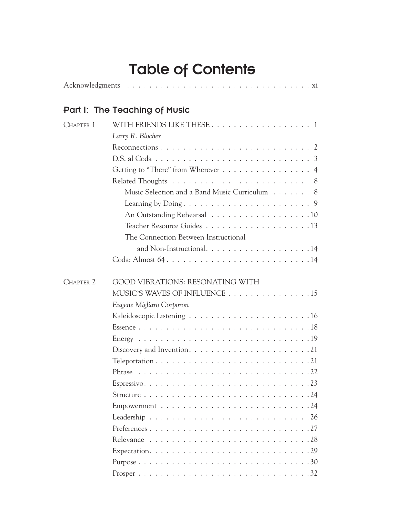# Table of Contents

|--|--|--|--|--|--|--|--|--|--|--|--|--|--|--|--|--|--|--|--|--|--|--|--|--|--|--|--|--|--|--|--|--|--|--|--|

# Part I: The Teaching of Music

| CHAPTER 1            |                                                                                              |
|----------------------|----------------------------------------------------------------------------------------------|
|                      | Larry R. Blocher                                                                             |
|                      |                                                                                              |
|                      |                                                                                              |
|                      | Getting to "There" from Wherever 4                                                           |
|                      |                                                                                              |
|                      | Music Selection and a Band Music Curriculum 8                                                |
|                      |                                                                                              |
|                      | An Outstanding Rehearsal 10                                                                  |
|                      |                                                                                              |
|                      | The Connection Between Instructional                                                         |
|                      | and Non-Instructional. $\ldots$ 14                                                           |
|                      |                                                                                              |
|                      |                                                                                              |
| CHAPTER <sub>2</sub> | <b>GOOD VIBRATIONS: RESONATING WITH</b>                                                      |
|                      | MUSIC'S WAVES OF INFLUENCE 15                                                                |
|                      | Eugene Migliaro Corporon                                                                     |
|                      |                                                                                              |
|                      |                                                                                              |
|                      |                                                                                              |
|                      | Discovery and Invention. $\dots \dots \dots \dots \dots \dots \dots \dots \dots \dots$       |
|                      |                                                                                              |
|                      |                                                                                              |
|                      |                                                                                              |
|                      |                                                                                              |
|                      |                                                                                              |
|                      | Leadership $\ldots \ldots \ldots \ldots \ldots \ldots \ldots \ldots \ldots \ldots \ldots 26$ |
|                      |                                                                                              |
|                      |                                                                                              |
|                      |                                                                                              |
|                      |                                                                                              |
|                      |                                                                                              |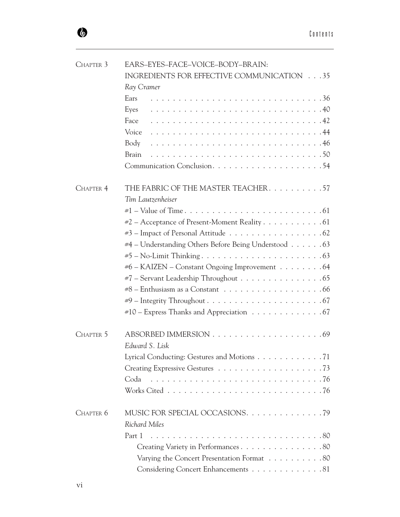| CHAPTER 3 | EARS-EYES-FACE-VOICE-BODY-BRAIN:                                                        |
|-----------|-----------------------------------------------------------------------------------------|
|           | INGREDIENTS FOR EFFECTIVE COMMUNICATION 35                                              |
|           | Ray Cramer                                                                              |
|           | Ears                                                                                    |
|           | Eyes                                                                                    |
|           | Face                                                                                    |
|           |                                                                                         |
|           | Body                                                                                    |
|           | Brain                                                                                   |
|           |                                                                                         |
| CHAPTER 4 | THE FABRIC OF THE MASTER TEACHER. 57                                                    |
|           | Tim Lautzenheiser                                                                       |
|           |                                                                                         |
|           | $\#2$ – Acceptance of Present-Moment Reality 61                                         |
|           |                                                                                         |
|           | #4 – Understanding Others Before Being Understood 63                                    |
|           |                                                                                         |
|           | #6 - KAIZEN - Constant Ongoing Improvement 64                                           |
|           | $\#7$ – Servant Leadership Throughout $\dots \dots \dots \dots \dots \dots \dots \dots$ |
|           | $\#8$ – Enthusiasm as a Constant $\ldots \ldots \ldots \ldots \ldots \ldots \ldots 66$  |
|           |                                                                                         |
|           | $*10$ – Express Thanks and Appreciation $\dots \dots \dots \dots \dots \dots$           |
| CHAPTER 5 |                                                                                         |
|           | Edward S. Lisk                                                                          |
|           | Lyrical Conducting: Gestures and Motions 71                                             |
|           |                                                                                         |
|           | Coda                                                                                    |
|           |                                                                                         |
| CHAPTER 6 | MUSIC FOR SPECIAL OCCASIONS. 79                                                         |
|           | <b>Richard Miles</b>                                                                    |
|           | Part 1                                                                                  |
|           | Creating Variety in Performances 80                                                     |
|           | Varying the Concert Presentation Format 80                                              |
|           | Considering Concert Enhancements 81                                                     |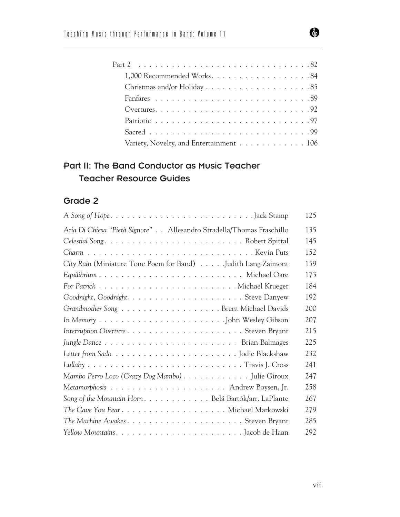| 1,000 Recommended Works84               |  |  |  |  |  |
|-----------------------------------------|--|--|--|--|--|
|                                         |  |  |  |  |  |
|                                         |  |  |  |  |  |
|                                         |  |  |  |  |  |
|                                         |  |  |  |  |  |
|                                         |  |  |  |  |  |
| Variety, Novelty, and Entertainment 106 |  |  |  |  |  |

#### Part II: The Band Conductor as Music Teacher Teacher Resource Guides

#### Grade 2

|                                                                                                        | 125 |
|--------------------------------------------------------------------------------------------------------|-----|
| Aria Di Chiesa "Pietà Signore" Allesandro Stradella/Thomas Fraschillo                                  | 135 |
|                                                                                                        | 145 |
|                                                                                                        | 152 |
| City Rain (Miniature Tone Poem for Band) Judith Lang Zaimont                                           | 159 |
|                                                                                                        | 173 |
|                                                                                                        | 184 |
|                                                                                                        | 192 |
| Grandmother Song Brent Michael Davids                                                                  | 200 |
|                                                                                                        | 207 |
|                                                                                                        | 215 |
|                                                                                                        | 225 |
|                                                                                                        | 232 |
| $Lullaby \ldots \ldots \ldots \ldots \ldots \ldots \ldots \ldots \ldots \ldots \ldots$ Travis J. Cross | 241 |
| Mambo Perro Loco (Crazy Dog Mambo) Julie Giroux                                                        | 247 |
|                                                                                                        | 258 |
| Song of the Mountain Horn. Belá Bartók/arr. LaPlante                                                   | 267 |
|                                                                                                        | 279 |
| The Machine AwakesSteven Bryant                                                                        | 285 |
|                                                                                                        | 292 |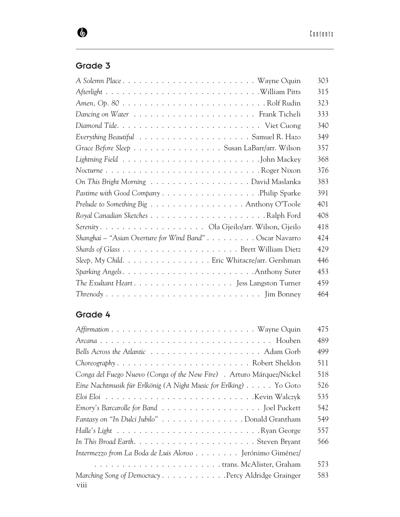## Grade 3

 $\bullet$ 

| A Solemn Place Wayne Oquin                                                                         | 303 |
|----------------------------------------------------------------------------------------------------|-----|
|                                                                                                    | 315 |
|                                                                                                    | 323 |
|                                                                                                    | 333 |
|                                                                                                    | 340 |
|                                                                                                    | 349 |
| Grace Before Sleep Susan LaBarr/arr. Wilson                                                        | 357 |
|                                                                                                    | 368 |
| NocturneRoger Nixon                                                                                | 376 |
| On This Bright Morning David Maslanka                                                              | 383 |
|                                                                                                    | 391 |
| Prelude to Something Big Anthony O'Toole                                                           | 401 |
|                                                                                                    | 408 |
|                                                                                                    | 418 |
| Shanghai – "Asian Overture for Wind Band" Oscar Navarro                                            | 424 |
|                                                                                                    | 429 |
| Sleep, My Child. Eric Whitacre/arr. Gershman                                                       | 446 |
|                                                                                                    | 453 |
|                                                                                                    | 459 |
| $Threnody \ldots \ldots \ldots \ldots \ldots \ldots \ldots \ldots \ldots \ldots \text{Jim Bonney}$ | 464 |

# Grade 4

|                                                                       | 475 |
|-----------------------------------------------------------------------|-----|
|                                                                       | 489 |
|                                                                       | 499 |
|                                                                       | 511 |
| Conga del Fuego Nuevo (Conga of the New Fire) . Arturo Márquez/Nickel | 518 |
| Eine Nachtmusik für Erlkönig (A Night Music for Erlking) Yo Goto      | 526 |
|                                                                       | 535 |
|                                                                       | 542 |
| Fantasy on "In Dulci Jubilo" Donald Grantham                          | 549 |
|                                                                       | 557 |
|                                                                       | 566 |
| Intermezzo from La Boda de Luis Alonso Jerónimo Giménez/              |     |
|                                                                       | 573 |
| Marching Song of Democracy Percy Aldridge Grainger<br>viii            | 583 |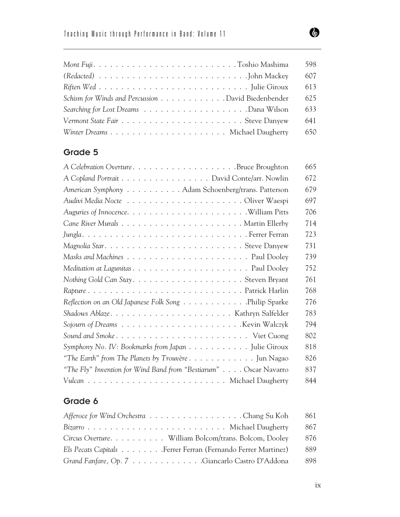| Mont FujiToshio Mashima                                                                | 598 |
|----------------------------------------------------------------------------------------|-----|
| $(Readated) \dots \dots \dots \dots \dots \dots \dots \dots \dots \dots$ . John Mackey | 607 |
|                                                                                        | 613 |
| Schism for Winds and Percussion David Biedenbender                                     | 625 |
|                                                                                        | 633 |
|                                                                                        | 641 |
|                                                                                        | 650 |

#### Grade 5

|                                                                                             | 665 |
|---------------------------------------------------------------------------------------------|-----|
| A Copland Portrait David Conte/arr. Nowlin                                                  | 672 |
| American Symphony Adam Schoenberg/trans. Patterson                                          | 679 |
|                                                                                             | 697 |
|                                                                                             | 706 |
|                                                                                             | 714 |
|                                                                                             | 723 |
| Magnolia StarSteve Danyew                                                                   | 731 |
|                                                                                             | 739 |
|                                                                                             | 752 |
| Nothing Gold Can StaySteven Bryant                                                          | 761 |
|                                                                                             | 768 |
| Reflection on an Old Japanese Folk Song Philip Sparke                                       | 776 |
|                                                                                             | 783 |
| Sojourn of Dreams $\ldots \ldots \ldots \ldots \ldots \ldots \ldots \ldots$ . Kevin Walczyk | 794 |
|                                                                                             | 802 |
| Symphony No. IV: Bookmarks from Japan Julie Giroux                                          | 818 |
| "The Earth" from The Planets by Trouvère Jun Nagao                                          | 826 |
| "The Fly" Invention for Wind Band from "Bestiarum" Oscar Navarro                            | 837 |
|                                                                                             | 844 |

## Grade 6

| Afferoce for Wind Orchestra Chang Su Koh                     | 861 |
|--------------------------------------------------------------|-----|
|                                                              | 867 |
| Circus Overture. William Bolcom/trans. Bolcom, Dooley        | 876 |
| Els Pecats Capitals Ferrer Ferran (Fernando Ferrer Martinez) | 889 |
| Grand Fanfare, Op. 7 Giancarlo Castro D'Addona               | 898 |